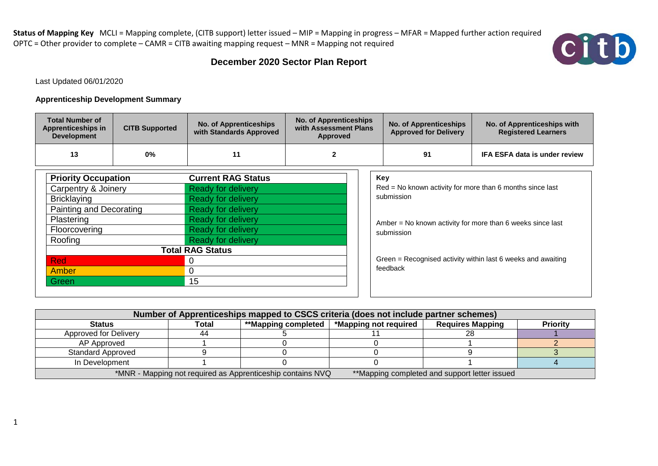

## **December 2020 Sector Plan Report**

Last Updated 06/01/2020

## **Apprenticeship Development Summary**

| <b>Total Number of</b><br>Apprenticeships in<br><b>Development</b> | <b>CITB Supported</b> | <b>No. of Apprenticeships</b><br>with Standards Approved | <b>No. of Apprenticeships</b><br>with Assessment Plans<br>Approved | <b>No. of Apprenticeships</b><br><b>Approved for Delivery</b> | No. of Apprenticeships with<br><b>Registered Learners</b> |
|--------------------------------------------------------------------|-----------------------|----------------------------------------------------------|--------------------------------------------------------------------|---------------------------------------------------------------|-----------------------------------------------------------|
| 13                                                                 | 0%                    |                                                          |                                                                    | 91                                                            | <b>IFA ESFA data is under review</b>                      |

| <b>Priority Occupation</b> | <b>Current RAG Status</b> |
|----------------------------|---------------------------|
| Carpentry & Joinery        | <b>Ready for delivery</b> |
| <b>Bricklaying</b>         | <b>Ready for delivery</b> |
| Painting and Decorating    | <b>Ready for delivery</b> |
| Plastering                 | <b>Ready for delivery</b> |
| Floorcovering              | <b>Ready for delivery</b> |
| Roofing                    | <b>Ready for delivery</b> |
|                            | <b>Total RAG Status</b>   |
| <b>Red</b>                 | O                         |
| Amber                      | 0                         |
| Green                      | 15                        |

| Key<br>$Red = No$ known activity for more than 6 months since last<br>submission |  |
|----------------------------------------------------------------------------------|--|
| Amber $=$ No known activity for more than 6 weeks since last<br>submission       |  |
| Green = Recognised activity within last 6 weeks and awaiting<br>feedback         |  |

| Number of Apprenticeships mapped to CSCS criteria (does not include partner schemes)                        |       |                     |                       |                         |          |  |  |  |  |
|-------------------------------------------------------------------------------------------------------------|-------|---------------------|-----------------------|-------------------------|----------|--|--|--|--|
| <b>Status</b>                                                                                               | Total | **Mapping completed | *Mapping not required | <b>Requires Mapping</b> | Priority |  |  |  |  |
| Approved for Delivery                                                                                       | 44    |                     |                       |                         |          |  |  |  |  |
| AP Approved                                                                                                 |       |                     |                       |                         |          |  |  |  |  |
| <b>Standard Approved</b>                                                                                    |       |                     |                       |                         |          |  |  |  |  |
| In Development                                                                                              |       |                     |                       |                         |          |  |  |  |  |
| *MNR - Mapping not required as Apprenticeship contains NVQ<br>**Mapping completed and support letter issued |       |                     |                       |                         |          |  |  |  |  |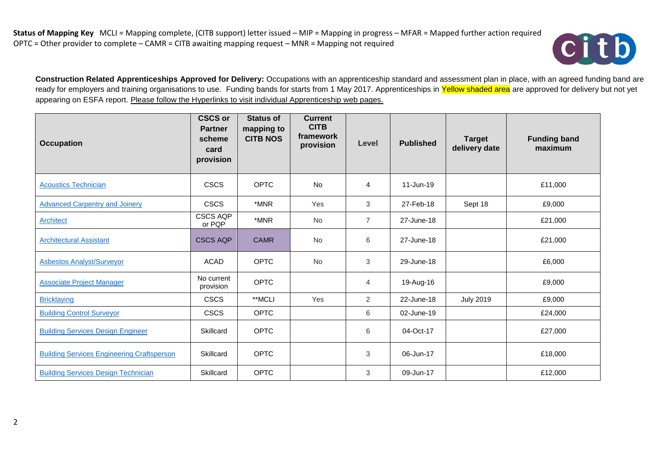

**Construction Related Apprenticeships Approved for Delivery:** Occupations with an apprenticeship standard and assessment plan in place, with an agreed funding band are ready for employers and training organisations to use. Funding bands for starts from 1 May 2017. Apprenticeships in Yellow shaded area are approved for delivery but not yet appearing on ESFA report. Please follow the Hyperlinks to visit individual Apprenticeship web pages.

| <b>Occupation</b>                                 | <b>CSCS or</b><br><b>Partner</b><br>scheme<br>card<br>provision | <b>Status of</b><br>mapping to<br><b>CITB NOS</b> | <b>Current</b><br><b>CITB</b><br>framework<br>provision | Level          | <b>Published</b> | <b>Target</b><br>delivery date | <b>Funding band</b><br>maximum |
|---------------------------------------------------|-----------------------------------------------------------------|---------------------------------------------------|---------------------------------------------------------|----------------|------------------|--------------------------------|--------------------------------|
| <b>Acoustics Technician</b>                       | <b>CSCS</b>                                                     | OPTC                                              | No                                                      | 4              | $11$ -Jun-19     |                                | £11,000                        |
| <b>Advanced Carpentry and Joinery</b>             | <b>CSCS</b>                                                     | *MNR                                              | Yes                                                     | 3              | 27-Feb-18        | Sept 18                        | £9,000                         |
| <b>Architect</b>                                  | <b>CSCS AQP</b><br>or PQP                                       | *MNR                                              | No                                                      | $\overline{7}$ | 27-June-18       |                                | £21,000                        |
| <b>Architectural Assistant</b>                    | <b>CSCS AQP</b>                                                 | <b>CAMR</b>                                       | <b>No</b>                                               | 6              | 27-June-18       |                                | £21,000                        |
| <b>Asbestos Analyst/Surveyor</b>                  | <b>ACAD</b>                                                     | <b>OPTC</b>                                       | <b>No</b>                                               | 3              | 29-June-18       |                                | £6,000                         |
| <b>Associate Project Manager</b>                  | No current<br>provision                                         | <b>OPTC</b>                                       |                                                         | 4              | 19-Aug-16        |                                | £9,000                         |
| <b>Bricklaying</b>                                | <b>CSCS</b>                                                     | **MCLI                                            | Yes                                                     | 2              | 22-June-18       | <b>July 2019</b>               | £9,000                         |
| <b>Building Control Surveyor</b>                  | <b>CSCS</b>                                                     | <b>OPTC</b>                                       |                                                         | 6              | 02-June-19       |                                | £24,000                        |
| <b>Building Services Design Engineer</b>          | Skillcard                                                       | <b>OPTC</b>                                       |                                                         | 6              | 04-Oct-17        |                                | £27,000                        |
| <b>Building Services Engineering Craftsperson</b> | Skillcard                                                       | <b>OPTC</b>                                       |                                                         | 3              | 06-Jun-17        |                                | £18,000                        |
| <b>Building Services Design Technician</b>        | Skillcard                                                       | <b>OPTC</b>                                       |                                                         | 3              | 09-Jun-17        |                                | £12,000                        |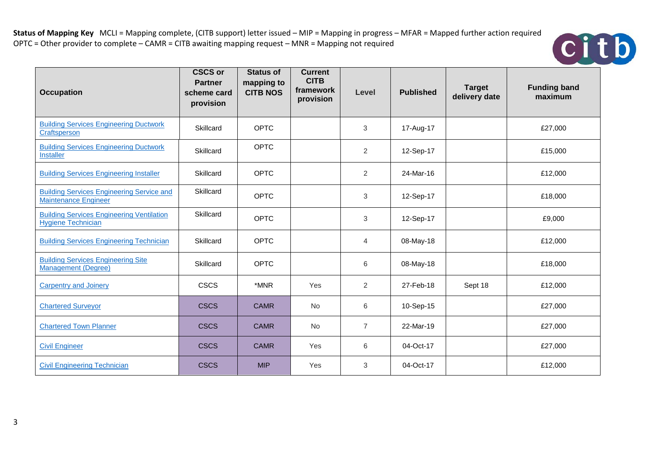

| <b>Occupation</b>                                                               | <b>CSCS or</b><br><b>Partner</b><br>scheme card<br>provision | <b>Status of</b><br>mapping to<br><b>CITB NOS</b> | <b>Current</b><br><b>CITB</b><br>framework<br>provision | Level          | <b>Published</b> | <b>Target</b><br>delivery date | <b>Funding band</b><br>maximum |
|---------------------------------------------------------------------------------|--------------------------------------------------------------|---------------------------------------------------|---------------------------------------------------------|----------------|------------------|--------------------------------|--------------------------------|
| <b>Building Services Engineering Ductwork</b><br>Craftsperson                   | Skillcard                                                    | <b>OPTC</b>                                       |                                                         | 3              | 17-Aug-17        |                                | £27,000                        |
| <b>Building Services Engineering Ductwork</b><br><b>Installer</b>               | Skillcard                                                    | <b>OPTC</b>                                       |                                                         | $\overline{2}$ | 12-Sep-17        |                                | £15,000                        |
| <b>Building Services Engineering Installer</b>                                  | Skillcard                                                    | <b>OPTC</b>                                       |                                                         | $\overline{2}$ | 24-Mar-16        |                                | £12,000                        |
| <b>Building Services Engineering Service and</b><br><b>Maintenance Engineer</b> | Skillcard                                                    | <b>OPTC</b>                                       |                                                         | 3              | 12-Sep-17        |                                | £18,000                        |
| <b>Building Services Engineering Ventilation</b><br><b>Hygiene Technician</b>   | Skillcard                                                    | <b>OPTC</b>                                       |                                                         | 3              | 12-Sep-17        |                                | £9,000                         |
| <b>Building Services Engineering Technician</b>                                 | Skillcard                                                    | <b>OPTC</b>                                       |                                                         | $\overline{4}$ | 08-May-18        |                                | £12,000                        |
| <b>Building Services Engineering Site</b><br><b>Management (Degree)</b>         | Skillcard                                                    | <b>OPTC</b>                                       |                                                         | 6              | 08-May-18        |                                | £18,000                        |
| <b>Carpentry and Joinery</b>                                                    | <b>CSCS</b>                                                  | *MNR                                              | Yes                                                     | $\overline{2}$ | 27-Feb-18        | Sept 18                        | £12,000                        |
| <b>Chartered Surveyor</b>                                                       | <b>CSCS</b>                                                  | <b>CAMR</b>                                       | <b>No</b>                                               | 6              | 10-Sep-15        |                                | £27,000                        |
| <b>Chartered Town Planner</b>                                                   | <b>CSCS</b>                                                  | <b>CAMR</b>                                       | <b>No</b>                                               | $\overline{7}$ | 22-Mar-19        |                                | £27,000                        |
| <b>Civil Engineer</b>                                                           | <b>CSCS</b>                                                  | <b>CAMR</b>                                       | Yes                                                     | 6              | 04-Oct-17        |                                | £27,000                        |
| <b>Civil Engineering Technician</b>                                             | <b>CSCS</b>                                                  | <b>MIP</b>                                        | Yes                                                     | 3              | 04-Oct-17        |                                | £12,000                        |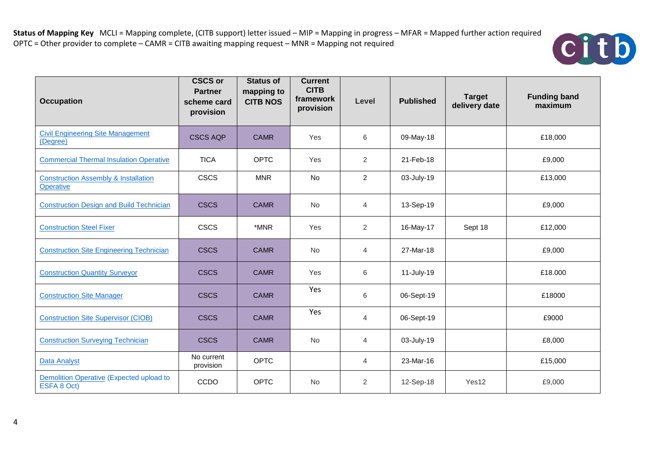

| <b>Occupation</b>                                            | <b>CSCS or</b><br><b>Partner</b><br>scheme card<br>provision | <b>Status of</b><br>mapping to<br><b>CITB NOS</b> | <b>Current</b><br><b>CITB</b><br>framework<br>provision | Level          | <b>Published</b> | <b>Target</b><br>delivery date | <b>Funding band</b><br>maximum |
|--------------------------------------------------------------|--------------------------------------------------------------|---------------------------------------------------|---------------------------------------------------------|----------------|------------------|--------------------------------|--------------------------------|
| <b>Civil Engineering Site Management</b><br>(Degree)         | <b>CSCS AQP</b>                                              | <b>CAMR</b>                                       | Yes                                                     | 6              | 09-May-18        |                                | £18,000                        |
| <b>Commercial Thermal Insulation Operative</b>               | <b>TICA</b>                                                  | <b>OPTC</b>                                       | Yes                                                     | 2              | 21-Feb-18        |                                | £9,000                         |
| <b>Construction Assembly &amp; Installation</b><br>Operative | <b>CSCS</b>                                                  | <b>MNR</b>                                        | No                                                      | $\overline{2}$ | 03-July-19       |                                | £13,000                        |
| <b>Construction Design and Build Technician</b>              | <b>CSCS</b>                                                  | <b>CAMR</b>                                       | No                                                      | $\overline{4}$ | 13-Sep-19        |                                | £9,000                         |
| <b>Construction Steel Fixer</b>                              | <b>CSCS</b>                                                  | *MNR                                              | Yes                                                     | 2              | 16-May-17        | Sept 18                        | £12,000                        |
| <b>Construction Site Engineering Technician</b>              | <b>CSCS</b>                                                  | <b>CAMR</b>                                       | <b>No</b>                                               | $\overline{4}$ | 27-Mar-18        |                                | £9,000                         |
| <b>Construction Quantity Surveyor</b>                        | <b>CSCS</b>                                                  | <b>CAMR</b>                                       | Yes                                                     | 6              | 11-July-19       |                                | £18.000                        |
| <b>Construction Site Manager</b>                             | <b>CSCS</b>                                                  | <b>CAMR</b>                                       | Yes                                                     | 6              | 06-Sept-19       |                                | £18000                         |
| <b>Construction Site Supervisor (CIOB)</b>                   | <b>CSCS</b>                                                  | <b>CAMR</b>                                       | Yes                                                     | $\overline{4}$ | 06-Sept-19       |                                | £9000                          |
| <b>Construction Surveying Technician</b>                     | <b>CSCS</b>                                                  | <b>CAMR</b>                                       | <b>No</b>                                               | 4              | 03-July-19       |                                | £8,000                         |
| Data Analyst                                                 | No current<br>provision                                      | <b>OPTC</b>                                       |                                                         | $\overline{4}$ | 23-Mar-16        |                                | £15,000                        |
| Demolition Operative (Expected upload to<br>ESFA 8 Oct)      | CCDO                                                         | <b>OPTC</b>                                       | <b>No</b>                                               | $\overline{2}$ | 12-Sep-18        | Yes12                          | £9,000                         |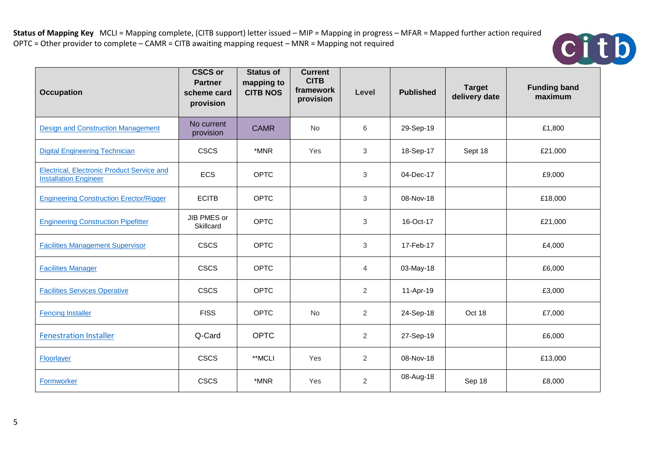

| <b>Occupation</b>                                                          | <b>CSCS or</b><br><b>Partner</b><br>scheme card<br>provision | <b>Status of</b><br>mapping to<br><b>CITB NOS</b> | <b>Current</b><br><b>CITB</b><br>framework<br>provision | Level          | <b>Published</b> | <b>Target</b><br>delivery date | <b>Funding band</b><br>maximum |
|----------------------------------------------------------------------------|--------------------------------------------------------------|---------------------------------------------------|---------------------------------------------------------|----------------|------------------|--------------------------------|--------------------------------|
| <b>Design and Construction Management</b>                                  | No current<br>provision                                      | <b>CAMR</b>                                       | <b>No</b>                                               | 6              | 29-Sep-19        |                                | £1,800                         |
| <b>Digital Engineering Technician</b>                                      | <b>CSCS</b>                                                  | *MNR                                              | Yes                                                     | $\mathsf 3$    | 18-Sep-17        | Sept 18                        | £21,000                        |
| Electrical, Electronic Product Service and<br><b>Installation Engineer</b> | <b>ECS</b>                                                   | <b>OPTC</b>                                       |                                                         | 3              | 04-Dec-17        |                                | £9,000                         |
| <b>Engineering Construction Erector/Rigger</b>                             | <b>ECITB</b>                                                 | <b>OPTC</b>                                       |                                                         | 3              | 08-Nov-18        |                                | £18,000                        |
| <b>Engineering Construction Pipefitter</b>                                 | JIB PMES or<br>Skillcard                                     | <b>OPTC</b>                                       |                                                         | 3              | 16-Oct-17        |                                | £21,000                        |
| <b>Facilities Management Supervisor</b>                                    | <b>CSCS</b>                                                  | <b>OPTC</b>                                       |                                                         | 3              | 17-Feb-17        |                                | £4,000                         |
| <b>Facilities Manager</b>                                                  | <b>CSCS</b>                                                  | <b>OPTC</b>                                       |                                                         | $\overline{4}$ | 03-May-18        |                                | £6,000                         |
| <b>Facilities Services Operative</b>                                       | <b>CSCS</b>                                                  | <b>OPTC</b>                                       |                                                         | $\overline{2}$ | 11-Apr-19        |                                | £3,000                         |
| <b>Fencing Installer</b>                                                   | <b>FISS</b>                                                  | <b>OPTC</b>                                       | No                                                      | $\overline{2}$ | 24-Sep-18        | Oct 18                         | £7,000                         |
| <b>Fenestration Installer</b>                                              | Q-Card                                                       | <b>OPTC</b>                                       |                                                         | $\overline{2}$ | 27-Sep-19        |                                | £6,000                         |
| Floorlayer                                                                 | <b>CSCS</b>                                                  | **MCLI                                            | Yes                                                     | $\overline{2}$ | 08-Nov-18        |                                | £13,000                        |
| Formworker                                                                 | <b>CSCS</b>                                                  | *MNR                                              | Yes                                                     | $\overline{2}$ | 08-Aug-18        | Sep 18                         | £8,000                         |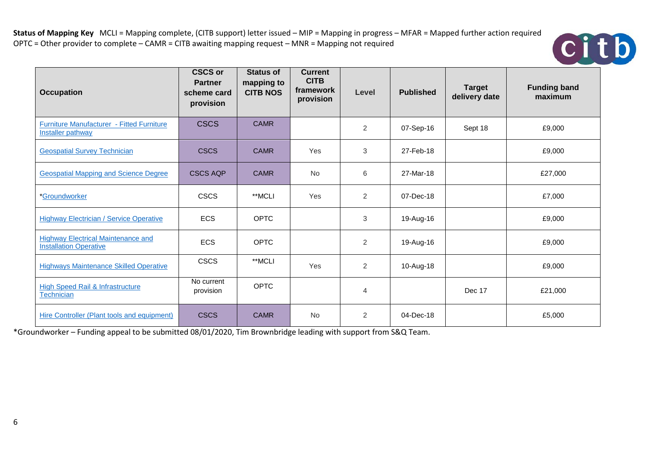

| <b>Occupation</b>                                                            | <b>CSCS or</b><br><b>Partner</b><br>scheme card<br>provision | <b>Status of</b><br>mapping to<br><b>CITB NOS</b> | <b>Current</b><br><b>CITB</b><br>framework<br>provision | Level          | <b>Published</b> | <b>Target</b><br>delivery date | <b>Funding band</b><br>maximum |
|------------------------------------------------------------------------------|--------------------------------------------------------------|---------------------------------------------------|---------------------------------------------------------|----------------|------------------|--------------------------------|--------------------------------|
| <b>Furniture Manufacturer - Fitted Furniture</b><br><b>Installer pathway</b> | <b>CSCS</b>                                                  | <b>CAMR</b>                                       |                                                         | 2              | 07-Sep-16        | Sept 18                        | £9,000                         |
| <b>Geospatial Survey Technician</b>                                          | <b>CSCS</b>                                                  | <b>CAMR</b>                                       | Yes                                                     | 3              | 27-Feb-18        |                                | £9,000                         |
| <b>Geospatial Mapping and Science Degree</b>                                 | <b>CSCS AQP</b>                                              | <b>CAMR</b>                                       | <b>No</b>                                               | 6              | 27-Mar-18        |                                | £27,000                        |
| *Groundworker                                                                | <b>CSCS</b>                                                  | **MCLI                                            | Yes                                                     | 2              | 07-Dec-18        |                                | £7,000                         |
| <b>Highway Electrician / Service Operative</b>                               | ECS                                                          | <b>OPTC</b>                                       |                                                         | 3              | 19-Aug-16        |                                | £9,000                         |
| <b>Highway Electrical Maintenance and</b><br><b>Installation Operative</b>   | <b>ECS</b>                                                   | <b>OPTC</b>                                       |                                                         | 2              | 19-Aug-16        |                                | £9,000                         |
| <b>Highways Maintenance Skilled Operative</b>                                | <b>CSCS</b>                                                  | **MCLI                                            | <b>Yes</b>                                              | $\overline{2}$ | 10-Aug-18        |                                | £9,000                         |
| <b>High Speed Rail &amp; Infrastructure</b><br>Technician                    | No current<br>provision                                      | <b>OPTC</b>                                       |                                                         | 4              |                  | Dec 17                         | £21,000                        |
| Hire Controller (Plant tools and equipment)                                  | <b>CSCS</b>                                                  | <b>CAMR</b>                                       | <b>No</b>                                               | 2              | 04-Dec-18        |                                | £5,000                         |

\*Groundworker – Funding appeal to be submitted 08/01/2020, Tim Brownbridge leading with support from S&Q Team.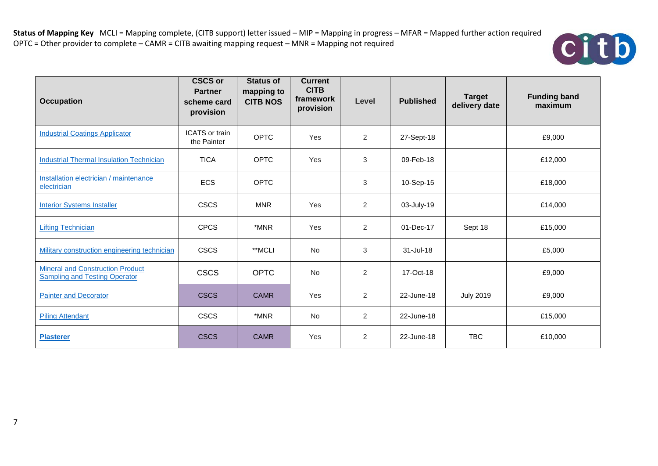

| <b>Occupation</b>                                                               | <b>CSCS or</b><br><b>Partner</b><br>scheme card<br>provision | <b>Status of</b><br>mapping to<br><b>CITB NOS</b> | <b>Current</b><br><b>CITB</b><br>framework<br>provision | Level          | <b>Published</b> | <b>Target</b><br>delivery date | <b>Funding band</b><br>maximum |
|---------------------------------------------------------------------------------|--------------------------------------------------------------|---------------------------------------------------|---------------------------------------------------------|----------------|------------------|--------------------------------|--------------------------------|
| <b>Industrial Coatings Applicator</b>                                           | <b>ICATS</b> or train<br>the Painter                         | <b>OPTC</b>                                       | Yes                                                     | 2              | 27-Sept-18       |                                | £9,000                         |
| <b>Industrial Thermal Insulation Technician</b>                                 | <b>TICA</b>                                                  | <b>OPTC</b>                                       | Yes                                                     | 3              | 09-Feb-18        |                                | £12,000                        |
| Installation electrician / maintenance<br>electrician                           | <b>ECS</b>                                                   | OPTC                                              |                                                         | 3              | 10-Sep-15        |                                | £18,000                        |
| <b>Interior Systems Installer</b>                                               | <b>CSCS</b>                                                  | <b>MNR</b>                                        | Yes                                                     | 2              | 03-July-19       |                                | £14,000                        |
| <b>Lifting Technician</b>                                                       | <b>CPCS</b>                                                  | *MNR                                              | Yes                                                     | 2              | 01-Dec-17        | Sept 18                        | £15,000                        |
| Military construction engineering technician                                    | <b>CSCS</b>                                                  | **MCLI                                            | <b>No</b>                                               | $\sqrt{3}$     | 31-Jul-18        |                                | £5,000                         |
| <b>Mineral and Construction Product</b><br><b>Sampling and Testing Operator</b> | <b>CSCS</b>                                                  | <b>OPTC</b>                                       | No                                                      | $\overline{2}$ | 17-Oct-18        |                                | £9,000                         |
| <b>Painter and Decorator</b>                                                    | <b>CSCS</b>                                                  | <b>CAMR</b>                                       | Yes                                                     | 2              | 22-June-18       | <b>July 2019</b>               | £9,000                         |
| <b>Piling Attendant</b>                                                         | <b>CSCS</b>                                                  | *MNR                                              | No                                                      | 2              | 22-June-18       |                                | £15,000                        |
| <b>Plasterer</b>                                                                | <b>CSCS</b>                                                  | <b>CAMR</b>                                       | Yes                                                     | 2              | 22-June-18       | <b>TBC</b>                     | £10,000                        |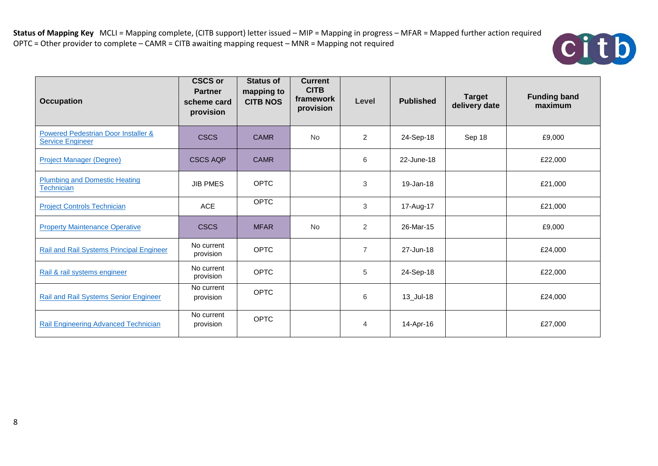

| <b>Occupation</b>                                              | <b>CSCS or</b><br><b>Partner</b><br>scheme card<br>provision | <b>Status of</b><br>mapping to<br><b>CITB NOS</b> | <b>Current</b><br><b>CITB</b><br>framework<br>provision | Level          | <b>Published</b> | <b>Target</b><br>delivery date | <b>Funding band</b><br>maximum |
|----------------------------------------------------------------|--------------------------------------------------------------|---------------------------------------------------|---------------------------------------------------------|----------------|------------------|--------------------------------|--------------------------------|
| Powered Pedestrian Door Installer &<br><b>Service Engineer</b> | <b>CSCS</b>                                                  | <b>CAMR</b>                                       | <b>No</b>                                               | $\overline{2}$ | 24-Sep-18        | Sep 18                         | £9,000                         |
| <b>Project Manager (Degree)</b>                                | <b>CSCS AQP</b>                                              | <b>CAMR</b>                                       |                                                         | 6              | 22-June-18       |                                | £22,000                        |
| <b>Plumbing and Domestic Heating</b><br>Technician             | <b>JIB PMES</b>                                              | <b>OPTC</b>                                       |                                                         | 3              | 19-Jan-18        |                                | £21,000                        |
| <b>Project Controls Technician</b>                             | <b>ACE</b>                                                   | <b>OPTC</b>                                       |                                                         | 3              | 17-Aug-17        |                                | £21,000                        |
| <b>Property Maintenance Operative</b>                          | <b>CSCS</b>                                                  | <b>MFAR</b>                                       | <b>No</b>                                               | 2              | 26-Mar-15        |                                | £9,000                         |
| Rail and Rail Systems Principal Engineer                       | No current<br>provision                                      | <b>OPTC</b>                                       |                                                         | $\overline{7}$ | 27-Jun-18        |                                | £24,000                        |
| Rail & rail systems engineer                                   | No current<br>provision                                      | <b>OPTC</b>                                       |                                                         | 5              | 24-Sep-18        |                                | £22,000                        |
| <b>Rail and Rail Systems Senior Engineer</b>                   | No current<br>provision                                      | <b>OPTC</b>                                       |                                                         | 6              | 13_Jul-18        |                                | £24,000                        |
| <b>Rail Engineering Advanced Technician</b>                    | No current<br>provision                                      | <b>OPTC</b>                                       |                                                         | 4              | 14-Apr-16        |                                | £27,000                        |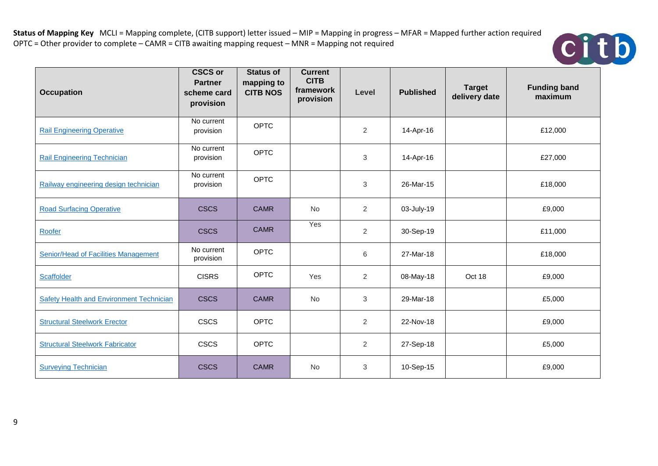

| <b>Occupation</b>                           | <b>CSCS or</b><br><b>Partner</b><br>scheme card<br>provision | <b>Status of</b><br>mapping to<br><b>CITB NOS</b> | <b>Current</b><br><b>CITB</b><br>framework<br>provision | Level          | <b>Published</b> | <b>Target</b><br>delivery date | <b>Funding band</b><br>maximum |
|---------------------------------------------|--------------------------------------------------------------|---------------------------------------------------|---------------------------------------------------------|----------------|------------------|--------------------------------|--------------------------------|
| <b>Rail Engineering Operative</b>           | No current<br>provision                                      | <b>OPTC</b>                                       |                                                         | $\overline{2}$ | 14-Apr-16        |                                | £12,000                        |
| <b>Rail Engineering Technician</b>          | No current<br>provision                                      | <b>OPTC</b>                                       |                                                         | 3              | 14-Apr-16        |                                | £27,000                        |
| Railway engineering design technician       | No current<br>provision                                      | <b>OPTC</b>                                       |                                                         | 3              | 26-Mar-15        |                                | £18,000                        |
| <b>Road Surfacing Operative</b>             | <b>CSCS</b>                                                  | <b>CAMR</b>                                       | No                                                      | 2              | 03-July-19       |                                | £9,000                         |
| Roofer                                      | <b>CSCS</b>                                                  | <b>CAMR</b>                                       | Yes                                                     | $\overline{2}$ | 30-Sep-19        |                                | £11,000                        |
| <b>Senior/Head of Facilities Management</b> | No current<br>provision                                      | <b>OPTC</b>                                       |                                                         | 6              | 27-Mar-18        |                                | £18,000                        |
| Scaffolder                                  | <b>CISRS</b>                                                 | <b>OPTC</b>                                       | Yes                                                     | $\overline{2}$ | 08-May-18        | Oct 18                         | £9,000                         |
| Safety Health and Environment Technician    | <b>CSCS</b>                                                  | <b>CAMR</b>                                       | No                                                      | 3              | 29-Mar-18        |                                | £5,000                         |
| <b>Structural Steelwork Erector</b>         | <b>CSCS</b>                                                  | <b>OPTC</b>                                       |                                                         | $\overline{2}$ | 22-Nov-18        |                                | £9,000                         |
| <b>Structural Steelwork Fabricator</b>      | <b>CSCS</b>                                                  | <b>OPTC</b>                                       |                                                         | $\overline{2}$ | 27-Sep-18        |                                | £5,000                         |
| <b>Surveying Technician</b>                 | <b>CSCS</b>                                                  | <b>CAMR</b>                                       | <b>No</b>                                               | 3              | 10-Sep-15        |                                | £9,000                         |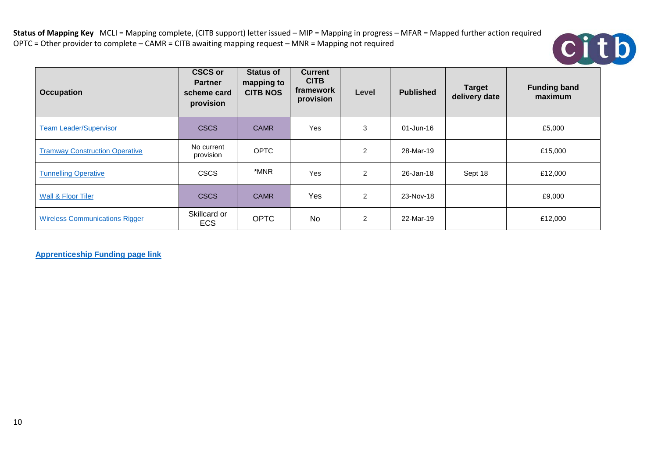

| <b>Occupation</b>                     | <b>CSCS or</b><br><b>Partner</b><br>scheme card<br>provision | <b>Status of</b><br>mapping to<br><b>CITB NOS</b> | <b>Current</b><br><b>CITB</b><br>framework<br>provision | Level | <b>Published</b> | <b>Target</b><br>delivery date | <b>Funding band</b><br>maximum |
|---------------------------------------|--------------------------------------------------------------|---------------------------------------------------|---------------------------------------------------------|-------|------------------|--------------------------------|--------------------------------|
| <b>Team Leader/Supervisor</b>         | <b>CSCS</b>                                                  | <b>CAMR</b>                                       | Yes                                                     | 3     | $01$ -Jun-16     |                                | £5,000                         |
| <b>Tramway Construction Operative</b> | No current<br>provision                                      | <b>OPTC</b>                                       |                                                         | 2     | 28-Mar-19        |                                | £15,000                        |
| <b>Tunnelling Operative</b>           | <b>CSCS</b>                                                  | *MNR                                              | Yes                                                     | 2     | 26-Jan-18        | Sept 18                        | £12,000                        |
| <b>Wall &amp; Floor Tiler</b>         | <b>CSCS</b>                                                  | <b>CAMR</b>                                       | Yes                                                     | 2     | 23-Nov-18        |                                | £9,000                         |
| <b>Wireless Communications Rigger</b> | Skillcard or<br><b>ECS</b>                                   | <b>OPTC</b>                                       | No                                                      | 2     | 22-Mar-19        |                                | £12,000                        |

**[Apprenticeship Funding page link](https://www.gov.uk/government/publications/apprenticeship-funding-bands)**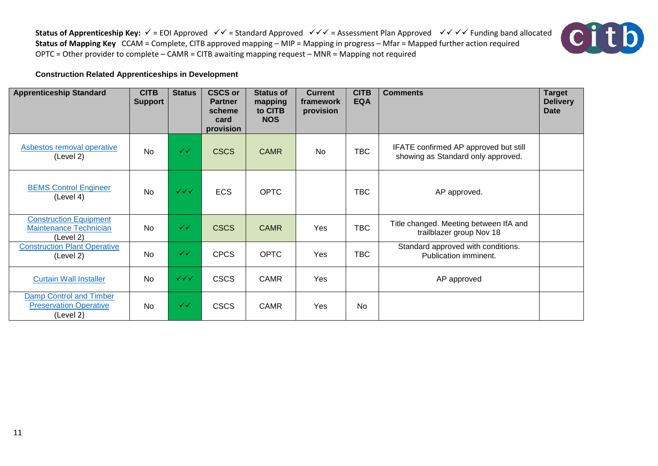**Status of Apprenticeship Key:**  $\checkmark$  = EOI Approved  $\checkmark$  = Standard Approved  $\checkmark$   $\checkmark$  = Assessment Plan Approved  $\checkmark$   $\checkmark$   $\checkmark$  Funding band allocated **Status of Mapping Key** CCAM = Complete, CITB approved mapping – MIP = Mapping in progress – Mfar = Mapped further action required OPTC = Other provider to complete – CAMR = CITB awaiting mapping request – MNR = Mapping not required



## **Construction Related Apprenticeships in Development**

| <b>Apprenticeship Standard</b>                                              | <b>CITB</b><br><b>Support</b> | <b>Status</b>                    | <b>CSCS or</b><br><b>Partner</b><br>scheme<br>card<br>provision | <b>Status of</b><br>mapping<br>to CITB<br><b>NOS</b> | <b>Current</b><br>framework<br>provision | <b>CITB</b><br><b>EQA</b> | <b>Comments</b>                                                             | <b>Target</b><br><b>Delivery</b><br><b>Date</b> |
|-----------------------------------------------------------------------------|-------------------------------|----------------------------------|-----------------------------------------------------------------|------------------------------------------------------|------------------------------------------|---------------------------|-----------------------------------------------------------------------------|-------------------------------------------------|
| <b>Asbestos removal operative</b><br>(Level 2)                              | <b>No</b>                     | ✓✓                               | <b>CSCS</b>                                                     | <b>CAMR</b>                                          | No                                       | <b>TBC</b>                | IFATE confirmed AP approved but still<br>showing as Standard only approved. |                                                 |
| <b>BEMS Control Engineer</b><br>(Level 4)                                   | <b>No</b>                     | $\checkmark\checkmark\checkmark$ | <b>ECS</b>                                                      | <b>OPTC</b>                                          |                                          | <b>TBC</b>                | AP approved.                                                                |                                                 |
| <b>Construction Equipment</b><br><b>Maintenance Technician</b><br>(Level 2) | <b>No</b>                     | ✓✓                               | <b>CSCS</b>                                                     | <b>CAMR</b>                                          | Yes                                      | <b>TBC</b>                | Title changed. Meeting between IfA and<br>trailblazer group Nov 18          |                                                 |
| <b>Construction Plant Operative</b><br>(Level 2)                            | <b>No</b>                     | ✓✓                               | <b>CPCS</b>                                                     | <b>OPTC</b>                                          | Yes                                      | <b>TBC</b>                | Standard approved with conditions.<br>Publication imminent.                 |                                                 |
| <b>Curtain Wall Installer</b>                                               | <b>No</b>                     | $\checkmark\checkmark\checkmark$ | <b>CSCS</b>                                                     | <b>CAMR</b>                                          | Yes                                      |                           | AP approved                                                                 |                                                 |
| Damp Control and Timber<br><b>Preservation Operative</b><br>(Level 2)       | <b>No</b>                     | ✓✓                               | <b>CSCS</b>                                                     | <b>CAMR</b>                                          | Yes                                      | <b>No</b>                 |                                                                             |                                                 |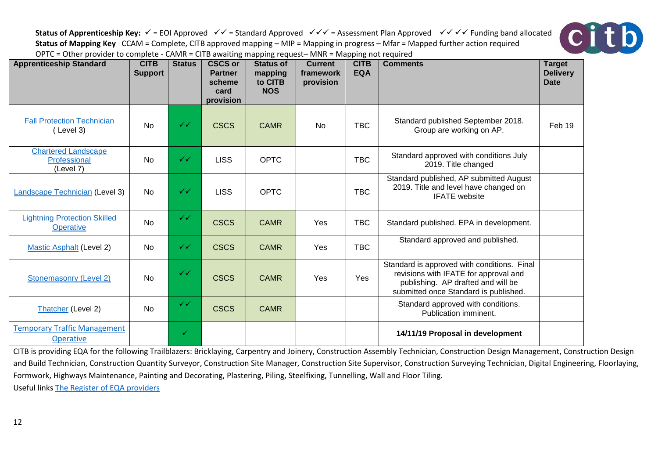**Status of Apprenticeship Key:**  $\checkmark$  = EOI Approved  $\checkmark$  + = Standard Approved  $\checkmark$  +  $\checkmark$  = Assessment Plan Approved  $\checkmark$  +  $\checkmark$  +  $\checkmark$  Funding band allocated **Status of Mapping Key** CCAM = Complete, CITB approved mapping – MIP = Mapping in progress – Mfar = Mapped further action required OPTC = Other provider to complete - CAMR = CITB awaiting mapping request– MNR = Mapping not required

citb



CITB is providing EQA for the following Trailblazers: Bricklaying, Carpentry and Joinery, Construction Assembly Technician, Construction Design Management, Construction Design and Build Technician, Construction Quantity Surveyor, Construction Site Manager, Construction Supervisor, Construction Surveying Technician, Digital Engineering, Floorlaying, Formwork, Highways Maintenance, Painting and Decorating, Plastering, Piling, Steelfixing, Tunnelling, Wall and Floor Tiling. Useful link[s The Register of EQA providers](https://www.instituteforapprenticeships.org/quality/resources/register-of-eqa-providers/)